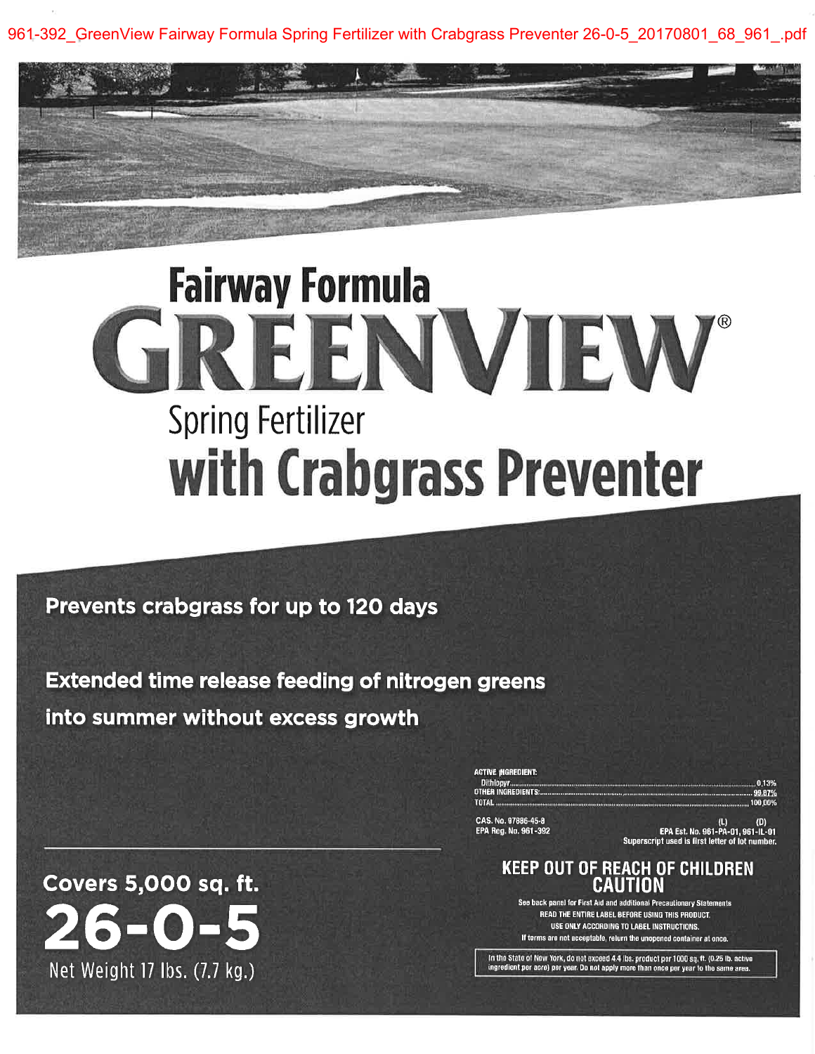961-392 GreenView Fairway Formula Spring Fertilizer with Crabgrass Preventer 26-0-5 20170801 68 961 .pdf

# **Fairway Formula** REENVIEW **Spring Fertilizer** with Crabgrass Preventer

## Prevents crabgrass for up to 120 days

**Extended time release feeding of nitrogen greens** into summer without excess growth

> ACTIVE INGREDIENT: OTHER INGREDIENTS

100.00%

CAS. No. 97886-45-8 EPA Reg. No. 961-392

(D) (D)<br>EPA Est. No. 961-PA-01, 961-IL-01<br>Superscript used is first letter of lot number.

### **KEEP OUT OF REACH OF CHILDREN** CAUTION

See back panel for First Aid and additional Precautionary Statements READ THE ENTIRE LABEL BEFORE USING THIS PRODUCT. USE ONLY ACCORDING TO LABEL INSTRUCTIONS. If terms are not acceptable, relurn the unopened container at once.

In the State of New York, do not exceed 4.4 lbs. product per 1000 sq. ft. (0.25 lb. active ingredient per acre) per year. Do not apply more than once per year to the same area

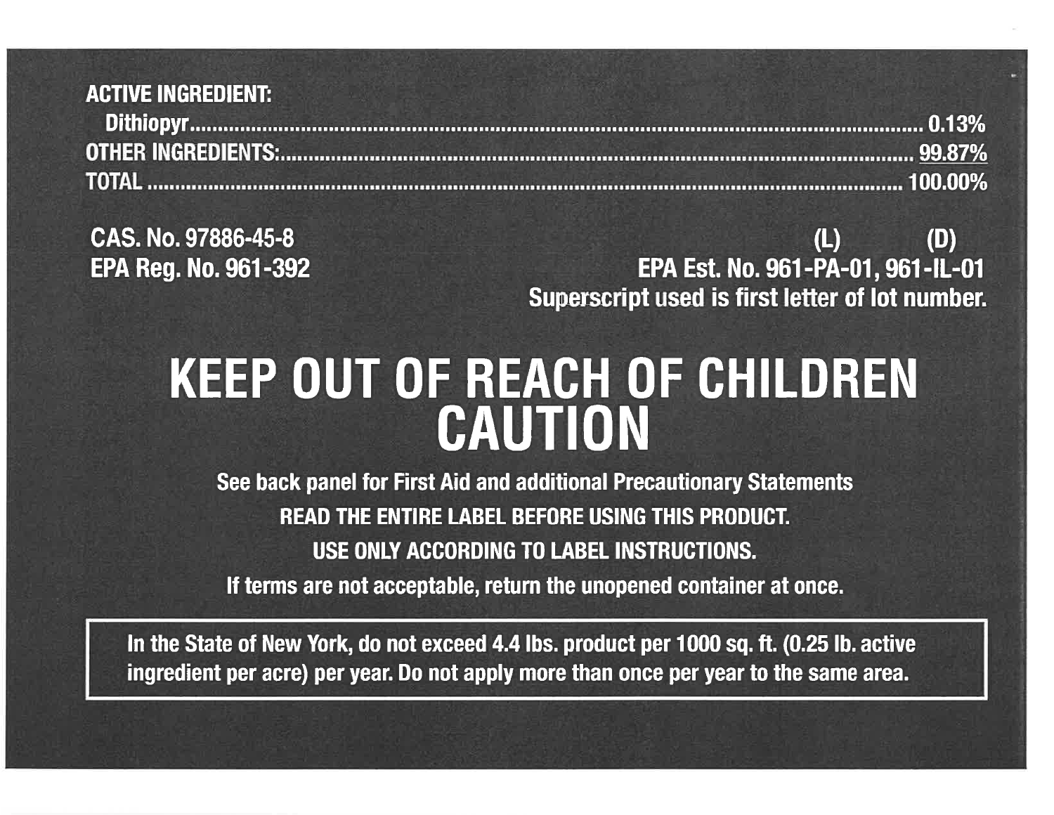## **ACTIVE INGREDIENT:**

CAS. No.97886-45-8EPA Reg, No. 96I -392

Superscript used is first letter of lot number (L) (D) EPA Est, No. 961-PA-01, 961-lL-01

# KEEP OUT OF REACH OF GHILDREN**CAUTION**

 See back panel for First Aid and additional Precautionary StatementsREAD THE ENTIRE LABEL BEFORE USING THIS PRODUCT. USE ONIY ACCORDING TO LABEL INSTRUCTIONS.lf terms are not acceptable, return the unopened container at once.

In the State of New York, do not exceed 4.4 lbs. product per 1000 sq. ft. (0.25 lb. active ingredient per acre) per year. Do not apply more than once per year to the same area.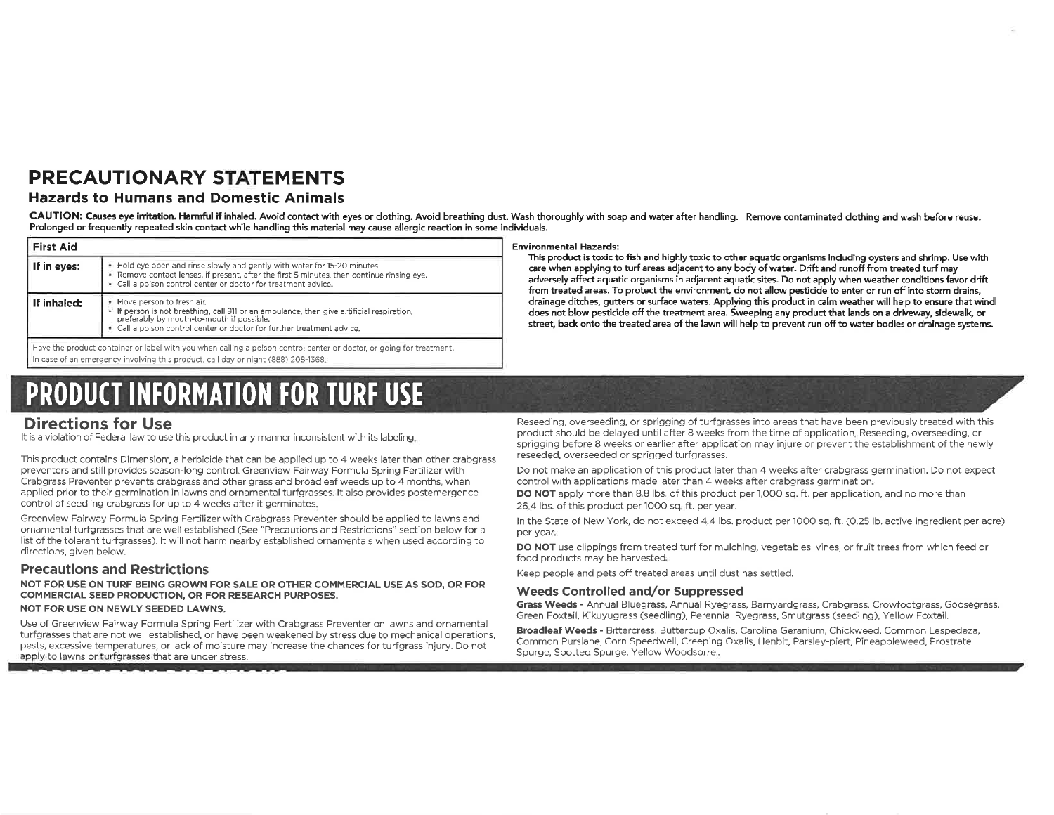## **PRECAUTIONARY STATEMENTS**

#### **Hazards to Humans and Domestic Animals**

CAUTION: Causes eye irritation. Harmful if inhaled. Avoid contact with eyes or dothing. Avoid breathing dust. Wash thoroughly with soap and water after handling. Remove contaminated dothing and wash before reuse. Prolonged or frequently repeated skin contact while handling this material may cause allergic reaction in some individuals.

| • Hold eye open and rinse slowly and gently with water for 15-20 minutes.<br>. Remove contact lenses, if present, after the first 5 minutes, then continue rinsing eve.<br>. Call a poison control center or doctor for treatment advice.       |
|-------------------------------------------------------------------------------------------------------------------------------------------------------------------------------------------------------------------------------------------------|
| • Move person to fresh air.<br>• If person is not breathing, call 911 or an ambulance, then give artificial respiration.<br>preferably by mouth-to-mouth if possible.<br>. Call a poison control center or doctor for further treatment advice. |
|                                                                                                                                                                                                                                                 |

Have the product container or label with you when calling a poison control center or doctor, or going for treatment. In case of an emergency involving this product, call day or night (888) 208-1368.

# **PRODUCT INFORMATION FOR TURF USE**

#### **Environmental Hazards:**

This product is toxic to fish and highly toxic to other aquatic organisms including oysters and shrimp. Use with care when applying to turf areas adjacent to any body of water. Drift and runoff from treated turf may adversely affect aquatic organisms in adjacent aquatic sites. Do not apply when weather conditions favor drift from treated areas. To protect the environment, do not allow pesticide to enter or run off into storm drains, drainage ditches, gutters or surface waters. Applying this product in calm weather will help to ensure that wind does not blow pesticide off the treatment area. Sweeping any product that lands on a driveway, sidewalk, or street, back onto the treated area of the lawn will help to prevent run off to water bodies or drainage systems.

### **Directions for Use**

It is a violation of Federal law to use this product in any manner inconsistent with its labeling.

This product contains Dimension\*, a herbicide that can be applied up to 4 weeks later than other crabgrass preventers and still provides season-long control. Greenview Fairway Formula Spring Fertilizer with Crabgrass Preventer prevents crabgrass and other grass and broadleaf weeds up to 4 months, when applied prior to their germination in lawns and ornamental turfgrasses. It also provides postemergence control of seedling crabgrass for up to 4 weeks after it germinates.

Greenview Fairway Formula Spring Fertilizer with Crabgrass Preventer should be applied to lawns and ornamental turfgrasses that are well established (See "Precautions and Restrictions" section below for a list of the tolerant turfgrasses). It will not harm nearby established ornamentals when used according to directions, given below,

#### **Precautions and Restrictions**

NOT FOR USE ON TURF BEING GROWN FOR SALE OR OTHER COMMERCIAL USE AS SOD, OR FOR COMMERCIAL SEED PRODUCTION, OR FOR RESEARCH PURPOSES.

#### NOT FOR USE ON NEWLY SEEDED LAWNS.

Use of Greenview Fairway Formula Spring Fertilizer with Crabgrass Preventer on lawns and ornamental turfgrasses that are not well established, or have been weakened by stress due to mechanical operations, pests, excessive temperatures, or lack of moisture may increase the chances for turfgrass injury. Do not apply to lawns or turfgrasses that are under stress.

Reseeding, overseeding, or sprigging of turfgrasses into areas that have been previously treated with this product should be delayed until after 8 weeks from the time of application. Reseeding, overseeding, or sprigging before 8 weeks or earlier after application may injure or prevent the establishment of the newly reseeded, overseeded or sprigged turfgrasses.

Do not make an application of this product later than 4 weeks after crabgrass germination. Do not expect control with applications made later than 4 weeks after crabgrass germination.

DO NOT apply more than 8.8 lbs. of this product per 1,000 sq. ft. per application, and no more than 26.4 lbs. of this product per 1000 sq. ft. per year.

In the State of New York, do not exceed 4.4 lbs. product per 1000 sq. ft. (0.25 lb. active ingredient per acre) per year.

DO NOT use clippings from treated turf for mulching, vegetables, vines, or fruit trees from which feed or food products may be harvested.

Keep people and pets off treated areas until dust has settled.

#### Weeds Controlled and/or Suppressed

Grass Weeds - Annual Bluegrass, Annual Ryegrass, Barnyardgrass, Crabgrass, Crowfootgrass, Goosegrass, Green Foxtail, Kikuyugrass (seedling), Perennial Ryegrass, Smutgrass (seedling), Yellow Foxtail.

Broadleaf Weeds - Bittercress, Buttercup Oxalis, Carolina Geranium, Chickweed, Common Lespedeza, Common Purslane, Corn Speedwell, Creeping Oxalis, Henbit, Parsley-piert, Pineappleweed, Prostrate Spurge, Spotted Spurge, Yellow Woodsorrel.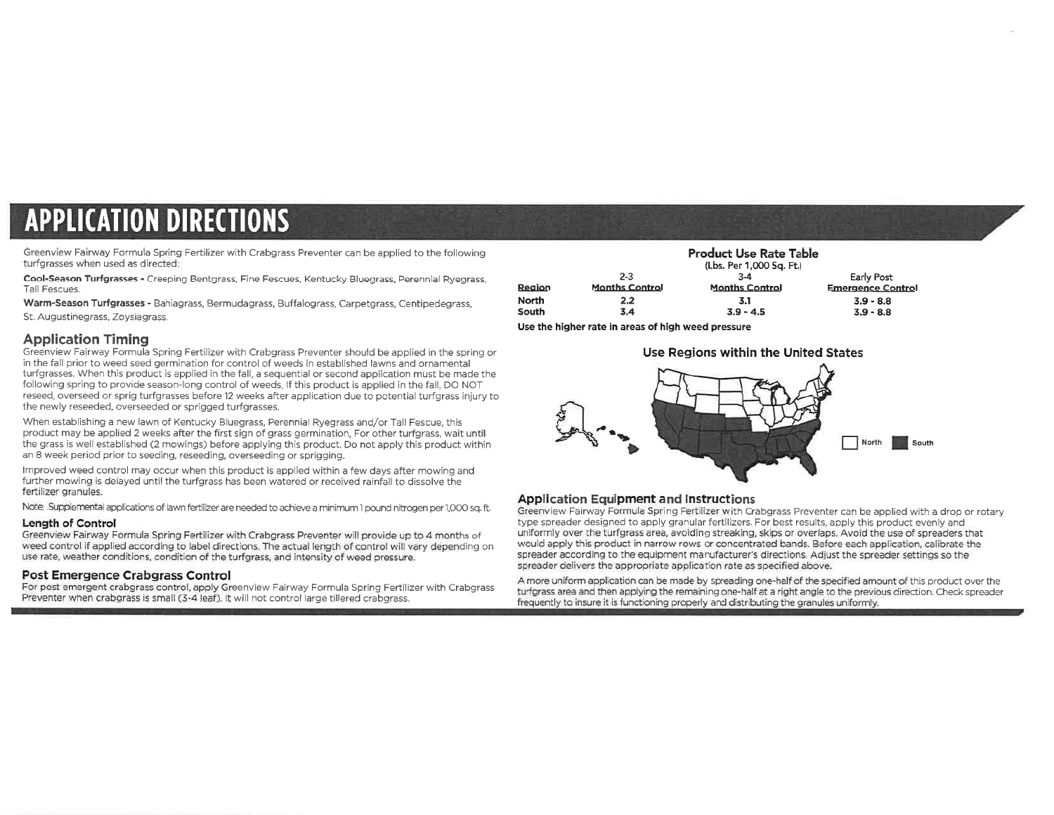# **APPLICATION DIRECTIONS**

Greenview Fairway Formula Spring Fertilizer with Crabgrass Preventer can be applied to the following turfgrasses when used as directed:

Cool-Season Turfgrasses - Creeping Bentgrass, Fine Fescues, Kentucky Bluegrass, Perennial Ryegrass, Tall Fescues.

Warm-Season Turfgrasses - Bahiagrass, Bermudagrass, Buffalograss, Carpetgrass, Centipedegrass, St. Augustinegrass, Zoysiagrass.

#### **Application Timing**

Greenview Fairway Formula Spring Fertilizer with Crabgrass Preventer should be applied in the spring or in the fall prior to weed seed germination for control of weeds in established lawns and ornamental turfgrasses. When this product is applied in the fall, a sequential or second application must be made the following spring to provide season-long control of weeds. If this product is applied in the fall. DO NOT reseed. overseed or sprig turfgrasses before 12 weeks after application due to potential turfgrass injury to the newly reseeded, overseeded or sprigged turfgrasses.

When establishing a new lawn of Kentucky Bluegrass, Perennial Ryegrass and/or Tall Fescue, this product may be applied 2 weeks after the first sign of grass germination. For other turfgrass, wait until the grass is well established (2 mowings) before applying this product. Do not apply this product within an 8 week period prior to seeding, reseeding, overseeding or sprigging.

Improved weed control may occur when this product is applied within a few days after mowing and further mowing is delayed until the turfgrass has been watered or received rainfall to dissolve the fertilizer granules.

Note: Supplemental applications of lawn fertilizer are needed to achieve a minimum 1 pound nitrogen per 1,000 sq. ft.

#### Length of Control

Greenview Fairway Formula Spring Fertilizer with Crabgrass Preventer will provide up to 4 months of weed control if applied according to label directions. The actual length of control will vary depending on use rate, weather conditions, condition of the turfgrass, and intensity of weed pressure.

#### Post Emergence Crabgrass Control

For post emergent crabgrass control, apply Greenview Fairway Formula Spring Fertilizer with Crabgrass Preventer when crabgrass is small (3-4 leaf). It will not control large tillered crabgrass.

|              |                       | <b>Product Use Rate Table</b> |                          |
|--------------|-----------------------|-------------------------------|--------------------------|
|              |                       | (Lbs. Per 1,000 Sq. Ft.)      |                          |
|              | $2-3$                 | $3 - 4$                       | Early Post               |
| Region       | <b>Months Control</b> | <b>Months Control</b>         | <b>Emergence Control</b> |
| <b>North</b> | 2.2                   | 3.1                           | $3.9 - 8.8$              |
| South        | 3.4                   | $3.9 - 4.5$                   | $3.9 - 8.8$              |
| .            |                       |                               |                          |

Use the higher rate in areas of high weed pressure



#### **Application Equipment and Instructions**

Greenview Fairway Formula Spring Fertilizer with Crabgrass Preventer can be applied with a drop or rotary type spreader designed to apply granular fertilizers. For best results, apply this product evenly and uniformly over the turfgrass area, avoiding streaking, skips or overlaps. Avoid the use of spreaders that would apply this product in narrow rows or concentrated bands. Before each application, calibrate the spreader according to the equipment manufacturer's directions. Adjust the spreader settings so the spreader delivers the appropriate application rate as specified above.

A more uniform application can be made by spreading one-half of the specified amount of this product over the turfgrass area and then applying the remaining one-half at a right angle to the previous direction. Check spreader frequently to insure it is functioning properly and distributing the granules uniformly.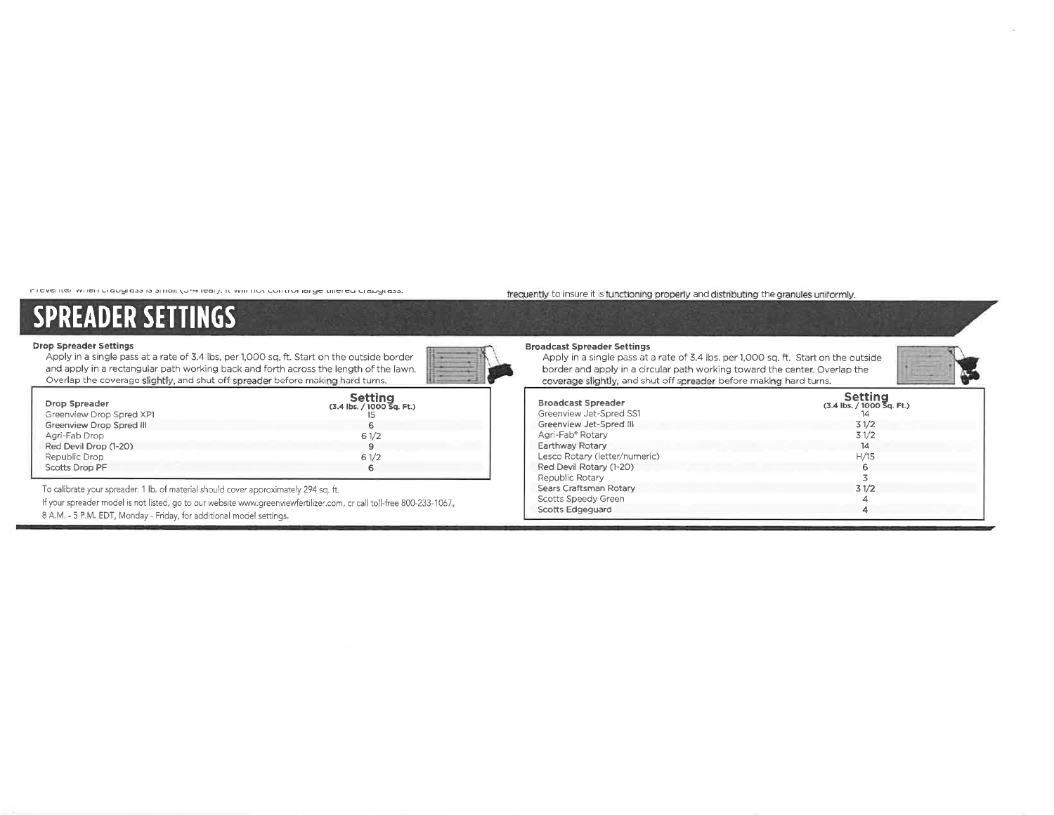בובגבותם ואוופודת מאלוסט וט טוומודרה אובמו). וב אזוו וותר בתוונות ומואב חווכובת תומאלוסטי

#### frequently to insure it is functioning properly and distributing the granules uniformly.

# **SPREADER SETTINGS**

#### **Drop Spreader Settings**

Apply in a single pass at a rate of 3.4 lbs, per 1,000 sq. ft. Start on the outside border and apply in a rectangular path working back and forth across the length of the lawn. Overlap the coverage slightly, and shut off spreader before making hard turns.

| <b>Drop Spreader</b><br>Greenview Drop Spred XP1 | <b>Setting</b><br>(3.4 lbs. / 1000 Sq. Ft.) |
|--------------------------------------------------|---------------------------------------------|
| Greenview Drop Spred III                         | 6                                           |
| Agri-Fab Drop                                    | 61/2                                        |
| Red Devil Drop (1-20)                            | 9                                           |
| Republic Drop                                    | 61/2                                        |
| Scotts Drop PF                                   | 6                                           |

To calibrate your spreader: 1 lb, of material should cover approximately 294 sq. ft.

If your spreader model is not listed, go to our website www.greenviewfertilizer.com, or call toll-free 800-233-1067, 8 A.M. - 5 P.M. EDT, Monday - Friday, for additional model settings.

## **Broadcast Spreader Settings**

Apply in a single pass at a rate of 3.4 lbs. per 1,000 sq. ft. Start on the outside border and apply in a circular path working toward the center. Overlap the coverage slightly, and shut off spreader before making hard turns.

| <b>Broadcast Spreader</b><br>Greenview Jet-Spred SS1 | <b>Setting</b><br>$(3.4$ lbs. $/ 1000$ Sq. Ft.)<br>14 |
|------------------------------------------------------|-------------------------------------------------------|
| Greenview Jet-Spred III                              | 31/2                                                  |
| Agri-Fab <sup>®</sup> Rotary                         | 31/2                                                  |
| Earthway Rotary                                      | 14                                                    |
| Lesco Rotary (letter/numeric)                        | H/15                                                  |
| Red Devil Rotary (1-20)                              | 6                                                     |
| Republic Rotary                                      |                                                       |
| Sears Craftsman Rotary                               | 31/2                                                  |
| Scotts Speedy Green                                  |                                                       |
| <b>Scotts Edgeguard</b>                              |                                                       |